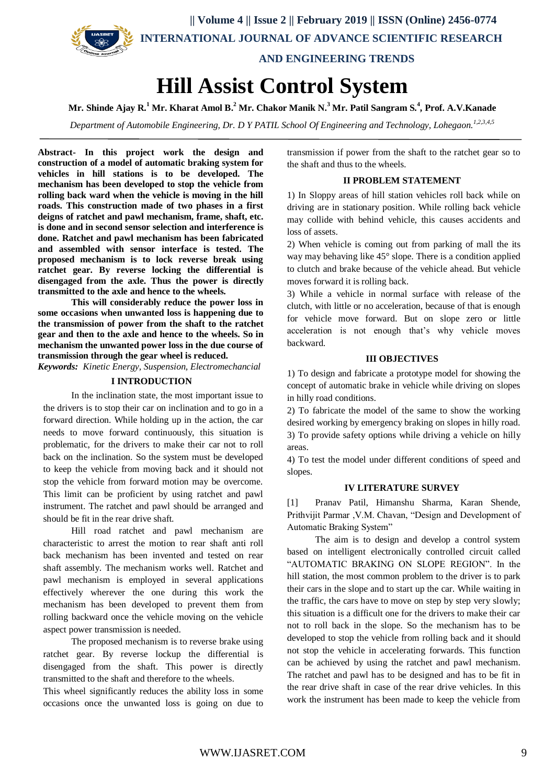

# **Hill Assist Control System**

**Mr. Shinde Ajay R.<sup>1</sup> Mr. Kharat Amol B.<sup>2</sup> Mr. Chakor Manik N.<sup>3</sup> Mr. Patil Sangram S.<sup>4</sup> , Prof. A.V.Kanade**

*Department of Automobile Engineering, Dr. D Y PATIL School Of Engineering and Technology, Lohegaon. 1,2,3,4,5*

**Abstract- In this project work the design and construction of a model of automatic braking system for vehicles in hill stations is to be developed. The mechanism has been developed to stop the vehicle from rolling back ward when the vehicle is moving in the hill roads. This construction made of two phases in a first deigns of ratchet and pawl mechanism, frame, shaft, etc. is done and in second sensor selection and interference is done. Ratchet and pawl mechanism has been fabricated and assembled with sensor interface is tested. The proposed mechanism is to lock reverse break using ratchet gear. By reverse locking the differential is disengaged from the axle. Thus the power is directly transmitted to the axle and hence to the wheels.**

**This will considerably reduce the power loss in some occasions when unwanted loss is happening due to the transmission of power from the shaft to the ratchet gear and then to the axle and hence to the wheels. So in mechanism the unwanted power loss in the due course of transmission through the gear wheel is reduced.**

*Keywords: Kinetic Energy, Suspension, Electromechancial*

# **I INTRODUCTION**

In the inclination state, the most important issue to the drivers is to stop their car on inclination and to go in a forward direction. While holding up in the action, the car needs to move forward continuously, this situation is problematic, for the drivers to make their car not to roll back on the inclination. So the system must be developed to keep the vehicle from moving back and it should not stop the vehicle from forward motion may be overcome. This limit can be proficient by using ratchet and pawl instrument. The ratchet and pawl should be arranged and should be fit in the rear drive shaft.

Hill road ratchet and pawl mechanism are characteristic to arrest the motion to rear shaft anti roll back mechanism has been invented and tested on rear shaft assembly. The mechanism works well. Ratchet and pawl mechanism is employed in several applications effectively wherever the one during this work the mechanism has been developed to prevent them from rolling backward once the vehicle moving on the vehicle aspect power transmission is needed.

The proposed mechanism is to reverse brake using ratchet gear. By reverse lockup the differential is disengaged from the shaft. This power is directly transmitted to the shaft and therefore to the wheels.

This wheel significantly reduces the ability loss in some occasions once the unwanted loss is going on due to transmission if power from the shaft to the ratchet gear so to the shaft and thus to the wheels.

### **II PROBLEM STATEMENT**

1) In Sloppy areas of hill station vehicles roll back while on driving are in stationary position. While rolling back vehicle may collide with behind vehicle, this causes accidents and loss of assets.

2) When vehicle is coming out from parking of mall the its way may behaving like 45° slope. There is a condition applied to clutch and brake because of the vehicle ahead. But vehicle moves forward it is rolling back.

3) While a vehicle in normal surface with release of the clutch, with little or no acceleration, because of that is enough for vehicle move forward. But on slope zero or little acceleration is not enough that's why vehicle moves backward.

## **III OBJECTIVES**

1) To design and fabricate a prototype model for showing the concept of automatic brake in vehicle while driving on slopes in hilly road conditions.

2) To fabricate the model of the same to show the working desired working by emergency braking on slopes in hilly road. 3) To provide safety options while driving a vehicle on hilly areas.

4) To test the model under different conditions of speed and slopes.

#### **IV LITERATURE SURVEY**

[1] Pranav Patil, Himanshu Sharma, Karan Shende, Prithvijit Parmar ,V.M. Chavan, "Design and Development of Automatic Braking System"

The aim is to design and develop a control system based on intelligent electronically controlled circuit called "AUTOMATIC BRAKING ON SLOPE REGION". In the hill station, the most common problem to the driver is to park their cars in the slope and to start up the car. While waiting in the traffic, the cars have to move on step by step very slowly; this situation is a difficult one for the drivers to make their car not to roll back in the slope. So the mechanism has to be developed to stop the vehicle from rolling back and it should not stop the vehicle in accelerating forwards. This function can be achieved by using the ratchet and pawl mechanism. The ratchet and pawl has to be designed and has to be fit in the rear drive shaft in case of the rear drive vehicles. In this work the instrument has been made to keep the vehicle from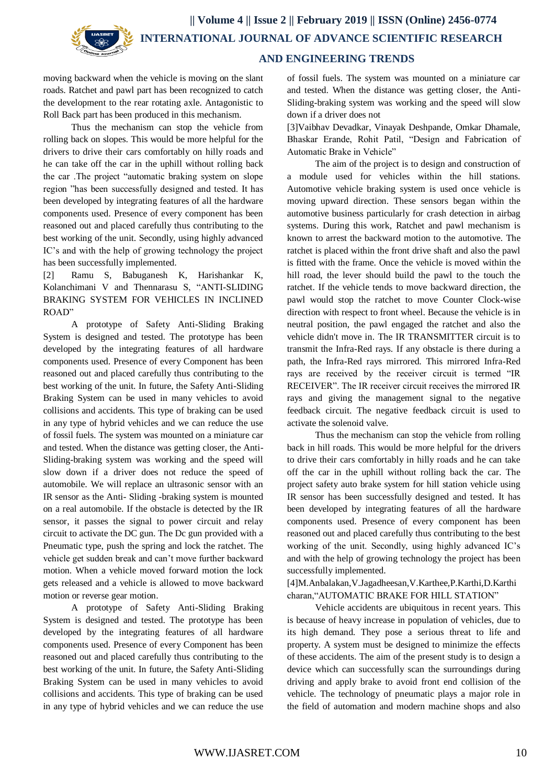

# **AND ENGINEERING TRENDS**

moving backward when the vehicle is moving on the slant roads. Ratchet and pawl part has been recognized to catch the development to the rear rotating axle. Antagonistic to Roll Back part has been produced in this mechanism.

Thus the mechanism can stop the vehicle from rolling back on slopes. This would be more helpful for the drivers to drive their cars comfortably on hilly roads and he can take off the car in the uphill without rolling back the car .The project "automatic braking system on slope region "has been successfully designed and tested. It has been developed by integrating features of all the hardware components used. Presence of every component has been reasoned out and placed carefully thus contributing to the best working of the unit. Secondly, using highly advanced IC's and with the help of growing technology the project has been successfully implemented.

[2] Ramu S, Babuganesh K, Harishankar K, Kolanchimani V and Thennarasu S, "ANTI-SLIDING BRAKING SYSTEM FOR VEHICLES IN INCLINED ROAD"

A prototype of Safety Anti-Sliding Braking System is designed and tested. The prototype has been developed by the integrating features of all hardware components used. Presence of every Component has been reasoned out and placed carefully thus contributing to the best working of the unit. In future, the Safety Anti-Sliding Braking System can be used in many vehicles to avoid collisions and accidents. This type of braking can be used in any type of hybrid vehicles and we can reduce the use of fossil fuels. The system was mounted on a miniature car and tested. When the distance was getting closer, the Anti-Sliding-braking system was working and the speed will slow down if a driver does not reduce the speed of automobile. We will replace an ultrasonic sensor with an IR sensor as the Anti- Sliding -braking system is mounted on a real automobile. If the obstacle is detected by the IR sensor, it passes the signal to power circuit and relay circuit to activate the DC gun. The Dc gun provided with a Pneumatic type, push the spring and lock the ratchet. The vehicle get sudden break and can't move further backward motion. When a vehicle moved forward motion the lock gets released and a vehicle is allowed to move backward motion or reverse gear motion.

A prototype of Safety Anti-Sliding Braking System is designed and tested. The prototype has been developed by the integrating features of all hardware components used. Presence of every Component has been reasoned out and placed carefully thus contributing to the best working of the unit. In future, the Safety Anti-Sliding Braking System can be used in many vehicles to avoid collisions and accidents. This type of braking can be used in any type of hybrid vehicles and we can reduce the use of fossil fuels. The system was mounted on a miniature car and tested. When the distance was getting closer, the Anti-Sliding-braking system was working and the speed will slow down if a driver does not

[3]Vaibhav Devadkar, Vinayak Deshpande, Omkar Dhamale, Bhaskar Erande, Rohit Patil, "Design and Fabrication of Automatic Brake in Vehicle"

The aim of the project is to design and construction of a module used for vehicles within the hill stations. Automotive vehicle braking system is used once vehicle is moving upward direction. These sensors began within the automotive business particularly for crash detection in airbag systems. During this work, Ratchet and pawl mechanism is known to arrest the backward motion to the automotive. The ratchet is placed within the front drive shaft and also the pawl is fitted with the frame. Once the vehicle is moved within the hill road, the lever should build the pawl to the touch the ratchet. If the vehicle tends to move backward direction, the pawl would stop the ratchet to move Counter Clock-wise direction with respect to front wheel. Because the vehicle is in neutral position, the pawl engaged the ratchet and also the vehicle didn't move in. The IR TRANSMITTER circuit is to transmit the Infra-Red rays. If any obstacle is there during a path, the Infra-Red rays mirrored. This mirrored Infra-Red rays are received by the receiver circuit is termed "IR RECEIVER". The IR receiver circuit receives the mirrored IR rays and giving the management signal to the negative feedback circuit. The negative feedback circuit is used to activate the solenoid valve.

Thus the mechanism can stop the vehicle from rolling back in hill roads. This would be more helpful for the drivers to drive their cars comfortably in hilly roads and he can take off the car in the uphill without rolling back the car. The project safety auto brake system for hill station vehicle using IR sensor has been successfully designed and tested. It has been developed by integrating features of all the hardware components used. Presence of every component has been reasoned out and placed carefully thus contributing to the best working of the unit. Secondly, using highly advanced IC's and with the help of growing technology the project has been successfully implemented.

[4]M.Anbalakan,V.Jagadheesan,V.Karthee,P.Karthi,D.Karthi charan,"AUTOMATIC BRAKE FOR HILL STATION"

Vehicle accidents are ubiquitous in recent years. This is because of heavy increase in population of vehicles, due to its high demand. They pose a serious threat to life and property. A system must be designed to minimize the effects of these accidents. The aim of the present study is to design a device which can successfully scan the surroundings during driving and apply brake to avoid front end collision of the vehicle. The technology of pneumatic plays a major role in the field of automation and modern machine shops and also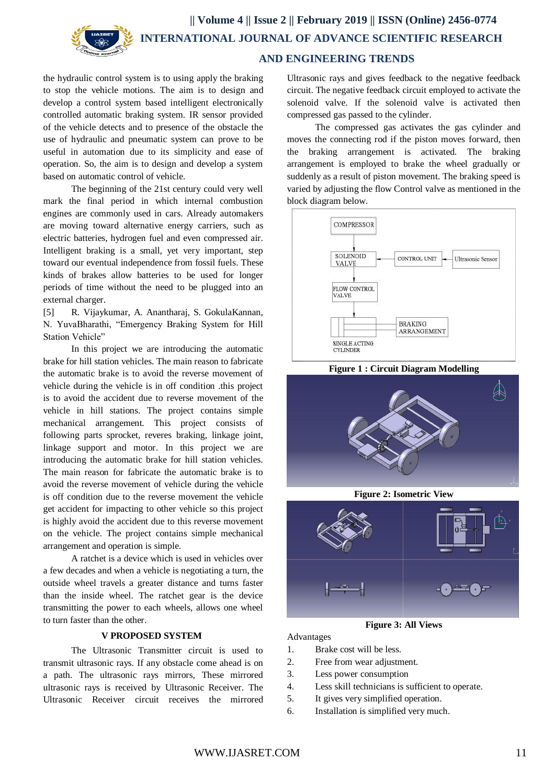

the hydraulic control system is to using apply the braking to stop the vehicle motions. The aim is to design and develop a control system based intelligent electronically controlled automatic braking system. IR sensor provided of the vehicle detects and to presence of the obstacle the use of hydraulic and pneumatic system can prove to be useful in automation due to its simplicity and ease of operation. So, the aim is to design and develop a system based on automatic control of vehicle.

The beginning of the 21st century could very well mark the final period in which internal combustion engines are commonly used in cars. Already automakers are moving toward alternative energy carriers, such as electric batteries, hydrogen fuel and even compressed air. Intelligent braking is a small, yet very important, step toward our eventual independence from fossil fuels. These kinds of brakes allow batteries to be used for longer periods of time without the need to be plugged into an external charger.

[5] R. Vijaykumar, A. Anantharaj, S. GokulaKannan, N. YuvaBharathi, "Emergency Braking System for Hill Station Vehicle"

In this project we are introducing the automatic brake for hill station vehicles. The main reason to fabricate the automatic brake is to avoid the reverse movement of vehicle during the vehicle is in off condition .this project is to avoid the accident due to reverse movement of the vehicle in hill stations. The project contains simple mechanical arrangement. This project consists of following parts sprocket, reveres braking, linkage joint, linkage support and motor. In this project we are introducing the automatic brake for hill station vehicles. The main reason for fabricate the automatic brake is to avoid the reverse movement of vehicle during the vehicle is off condition due to the reverse movement the vehicle get accident for impacting to other vehicle so this project is highly avoid the accident due to this reverse movement on the vehicle. The project contains simple mechanical arrangement and operation is simple.

A ratchet is a device which is used in vehicles over a few decades and when a vehicle is negotiating a turn, the outside wheel travels a greater distance and turns faster than the inside wheel. The ratchet gear is the device transmitting the power to each wheels, allows one wheel to turn faster than the other.

# **V PROPOSED SYSTEM**

The Ultrasonic Transmitter circuit is used to transmit ultrasonic rays. If any obstacle come ahead is on a path. The ultrasonic rays mirrors, These mirrored ultrasonic rays is received by Ultrasonic Receiver. The Ultrasonic Receiver circuit receives the mirrored

Ultrasonic rays and gives feedback to the negative feedback circuit. The negative feedback circuit employed to activate the solenoid valve. If the solenoid valve is activated then compressed gas passed to the cylinder.

The compressed gas activates the gas cylinder and moves the connecting rod if the piston moves forward, then the braking arrangement is activated. The braking arrangement is employed to brake the wheel gradually or suddenly as a result of piston movement. The braking speed is varied by adjusting the flow Control valve as mentioned in the block diagram below.



**Figure 1 : Circuit Diagram Modelling**



**Figure 2: Isometric View**



**Figure 3: All Views**

Advantages

- 1. Brake cost will be less.
- 2. Free from wear adjustment.
- 3. Less power consumption
- 4. Less skill technicians is sufficient to operate.
- 5. It gives very simplified operation.
- 6. Installation is simplified very much.